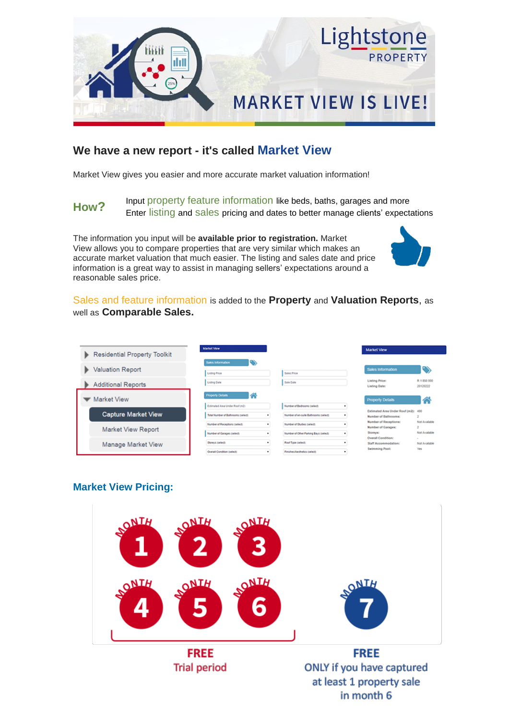



## **MARKET VIEW IS LIVE!**

## **We have a new report - it's called Market View**

Market View gives you easier and more accurate market valuation information!

**How?** Input property feature information like beds, baths, garages and more Enter listing and sales pricing and dates to better manage clients' expectations

The information you input will be **available prior to registration.** Market View allows you to compare properties that are very similar which makes an accurate market valuation that much easier. The listing and sales date and price information is a great way to assist in managing sellers' expectations around a reasonable sales price.



Sales and feature information is added to the **Property** and **Valuation Reports**, as well as **Comparable Sales.**

| <b>Residential Property Toolkit</b> | <b>Market View</b>                                                        |                                                                      | Market View                                                           |                                |
|-------------------------------------|---------------------------------------------------------------------------|----------------------------------------------------------------------|-----------------------------------------------------------------------|--------------------------------|
| <b>Valuation Report</b>             | Sales Information<br>Listing Price                                        | Sales Price                                                          | <b>Sales Information</b>                                              | ∾                              |
| <b>Additional Reports</b>           | Listing Date                                                              | Sale Date                                                            | <b>Listing Price:</b><br><b>Listing Date:</b>                         | R 1 850 000<br>20120222        |
| Market View                         | <b>Property Details</b><br>◚                                              |                                                                      | <b>Property Details</b>                                               | ◠                              |
| <b>Capture Market View</b>          | Estimated Area Under Roof (m2)<br>Total Number of Bathrooms (select)<br>٠ | Number of Bedrooms (select)<br>Number of en-suite Bathrooms (select) | Estimated Area Under Roof (m2): 490<br>Number of Bathrooms:           |                                |
| <b>Market View Report</b>           | Number of Receptions (select)<br>Number of Garages (select)               | Number of Studies (select)<br>Number of Other Parking Bays (select)  | <b>Number of Receptions:</b><br><b>Number of Garages:</b><br>Storeys: | Not Available<br>Not Available |
| Manage Market View                  | Storeys (select)                                                          | Roof Type (select)                                                   | <b>Overall Condition:</b><br><b>Staff Accommodation:</b>              | $\sim$<br>Not Available        |
|                                     | Overall Condition (select)                                                | Finishes/Aesthetics (select)                                         | <b>Swimming Pool:</b>                                                 | Yes                            |

## **Market View Pricing:**